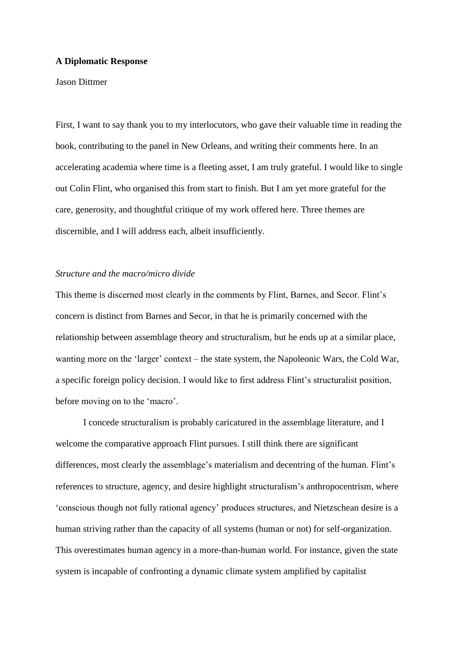### **A Diplomatic Response**

Jason Dittmer

First, I want to say thank you to my interlocutors, who gave their valuable time in reading the book, contributing to the panel in New Orleans, and writing their comments here. In an accelerating academia where time is a fleeting asset, I am truly grateful. I would like to single out Colin Flint, who organised this from start to finish. But I am yet more grateful for the care, generosity, and thoughtful critique of my work offered here. Three themes are discernible, and I will address each, albeit insufficiently.

# *Structure and the macro/micro divide*

This theme is discerned most clearly in the comments by Flint, Barnes, and Secor. Flint's concern is distinct from Barnes and Secor, in that he is primarily concerned with the relationship between assemblage theory and structuralism, but he ends up at a similar place, wanting more on the 'larger' context – the state system, the Napoleonic Wars, the Cold War, a specific foreign policy decision. I would like to first address Flint's structuralist position, before moving on to the 'macro'.

I concede structuralism is probably caricatured in the assemblage literature, and I welcome the comparative approach Flint pursues. I still think there are significant differences, most clearly the assemblage's materialism and decentring of the human. Flint's references to structure, agency, and desire highlight structuralism's anthropocentrism, where 'conscious though not fully rational agency' produces structures, and Nietzschean desire is a human striving rather than the capacity of all systems (human or not) for self-organization. This overestimates human agency in a more-than-human world. For instance, given the state system is incapable of confronting a dynamic climate system amplified by capitalist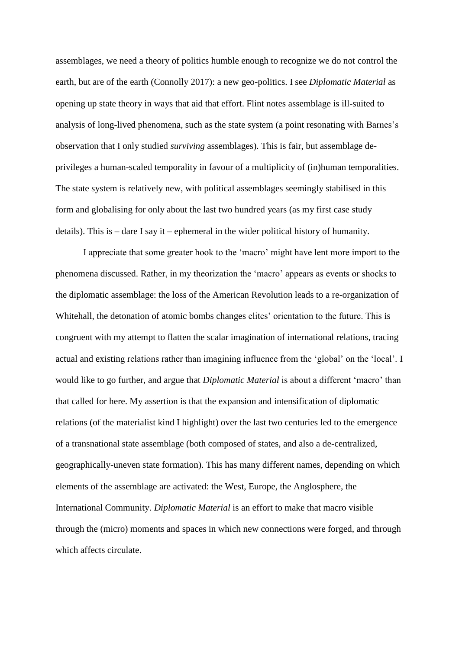assemblages, we need a theory of politics humble enough to recognize we do not control the earth, but are of the earth (Connolly 2017): a new geo-politics. I see *Diplomatic Material* as opening up state theory in ways that aid that effort. Flint notes assemblage is ill-suited to analysis of long-lived phenomena, such as the state system (a point resonating with Barnes's observation that I only studied *surviving* assemblages). This is fair, but assemblage deprivileges a human-scaled temporality in favour of a multiplicity of (in)human temporalities. The state system is relatively new, with political assemblages seemingly stabilised in this form and globalising for only about the last two hundred years (as my first case study details). This is – dare I say it – ephemeral in the wider political history of humanity.

I appreciate that some greater hook to the 'macro' might have lent more import to the phenomena discussed. Rather, in my theorization the 'macro' appears as events or shocks to the diplomatic assemblage: the loss of the American Revolution leads to a re-organization of Whitehall, the detonation of atomic bombs changes elites' orientation to the future. This is congruent with my attempt to flatten the scalar imagination of international relations, tracing actual and existing relations rather than imagining influence from the 'global' on the 'local'. I would like to go further, and argue that *Diplomatic Material* is about a different 'macro' than that called for here. My assertion is that the expansion and intensification of diplomatic relations (of the materialist kind I highlight) over the last two centuries led to the emergence of a transnational state assemblage (both composed of states, and also a de-centralized, geographically-uneven state formation). This has many different names, depending on which elements of the assemblage are activated: the West, Europe, the Anglosphere, the International Community. *Diplomatic Material* is an effort to make that macro visible through the (micro) moments and spaces in which new connections were forged, and through which affects circulate.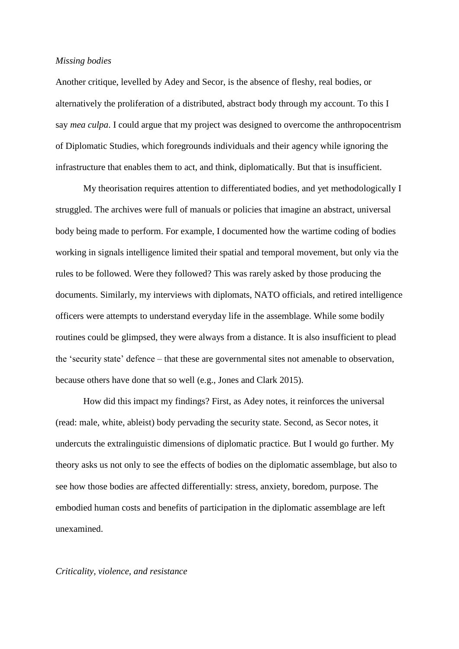#### *Missing bodies*

Another critique, levelled by Adey and Secor, is the absence of fleshy, real bodies, or alternatively the proliferation of a distributed, abstract body through my account. To this I say *mea culpa*. I could argue that my project was designed to overcome the anthropocentrism of Diplomatic Studies, which foregrounds individuals and their agency while ignoring the infrastructure that enables them to act, and think, diplomatically. But that is insufficient.

My theorisation requires attention to differentiated bodies, and yet methodologically I struggled. The archives were full of manuals or policies that imagine an abstract, universal body being made to perform. For example, I documented how the wartime coding of bodies working in signals intelligence limited their spatial and temporal movement, but only via the rules to be followed. Were they followed? This was rarely asked by those producing the documents. Similarly, my interviews with diplomats, NATO officials, and retired intelligence officers were attempts to understand everyday life in the assemblage. While some bodily routines could be glimpsed, they were always from a distance. It is also insufficient to plead the 'security state' defence – that these are governmental sites not amenable to observation, because others have done that so well (e.g., Jones and Clark 2015).

How did this impact my findings? First, as Adey notes, it reinforces the universal (read: male, white, ableist) body pervading the security state. Second, as Secor notes, it undercuts the extralinguistic dimensions of diplomatic practice. But I would go further. My theory asks us not only to see the effects of bodies on the diplomatic assemblage, but also to see how those bodies are affected differentially: stress, anxiety, boredom, purpose. The embodied human costs and benefits of participation in the diplomatic assemblage are left unexamined.

#### *Criticality, violence, and resistance*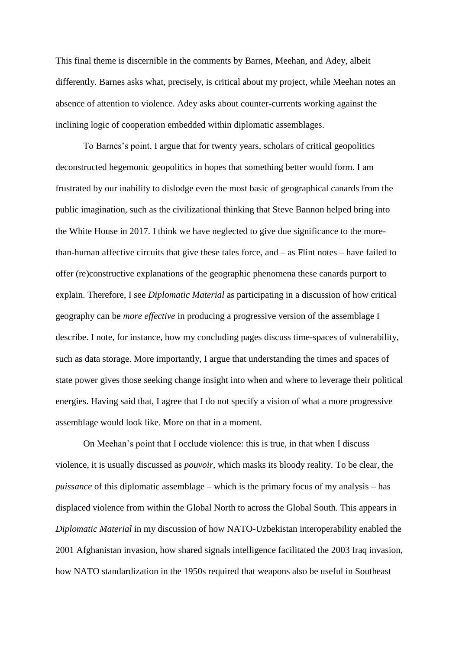This final theme is discernible in the comments by Barnes, Meehan, and Adey, albeit differently. Barnes asks what, precisely, is critical about my project, while Meehan notes an absence of attention to violence. Adey asks about counter-currents working against the inclining logic of cooperation embedded within diplomatic assemblages.

To Barnes's point, I argue that for twenty years, scholars of critical geopolitics deconstructed hegemonic geopolitics in hopes that something better would form. I am frustrated by our inability to dislodge even the most basic of geographical canards from the public imagination, such as the civilizational thinking that Steve Bannon helped bring into the White House in 2017. I think we have neglected to give due significance to the morethan-human affective circuits that give these tales force, and – as Flint notes – have failed to offer (re)constructive explanations of the geographic phenomena these canards purport to explain. Therefore, I see *Diplomatic Material* as participating in a discussion of how critical geography can be *more effective* in producing a progressive version of the assemblage I describe. I note, for instance, how my concluding pages discuss time-spaces of vulnerability, such as data storage. More importantly, I argue that understanding the times and spaces of state power gives those seeking change insight into when and where to leverage their political energies. Having said that, I agree that I do not specify a vision of what a more progressive assemblage would look like. More on that in a moment.

On Meehan's point that I occlude violence: this is true, in that when I discuss violence, it is usually discussed as *pouvoir*, which masks its bloody reality. To be clear, the *puissance* of this diplomatic assemblage – which is the primary focus of my analysis – has displaced violence from within the Global North to across the Global South. This appears in *Diplomatic Material* in my discussion of how NATO-Uzbekistan interoperability enabled the 2001 Afghanistan invasion, how shared signals intelligence facilitated the 2003 Iraq invasion, how NATO standardization in the 1950s required that weapons also be useful in Southeast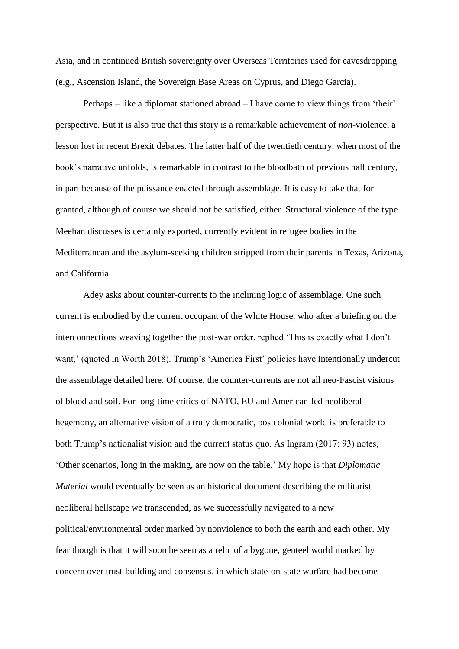Asia, and in continued British sovereignty over Overseas Territories used for eavesdropping (e.g., Ascension Island, the Sovereign Base Areas on Cyprus, and Diego Garcia).

Perhaps – like a diplomat stationed abroad – I have come to view things from 'their' perspective. But it is also true that this story is a remarkable achievement of *non*-violence, a lesson lost in recent Brexit debates. The latter half of the twentieth century, when most of the book's narrative unfolds, is remarkable in contrast to the bloodbath of previous half century, in part because of the puissance enacted through assemblage. It is easy to take that for granted, although of course we should not be satisfied, either. Structural violence of the type Meehan discusses is certainly exported, currently evident in refugee bodies in the Mediterranean and the asylum-seeking children stripped from their parents in Texas, Arizona, and California.

Adey asks about counter-currents to the inclining logic of assemblage. One such current is embodied by the current occupant of the White House, who after a briefing on the interconnections weaving together the post-war order, replied 'This is exactly what I don't want,' (quoted in Worth 2018). Trump's 'America First' policies have intentionally undercut the assemblage detailed here. Of course, the counter-currents are not all neo-Fascist visions of blood and soil. For long-time critics of NATO, EU and American-led neoliberal hegemony, an alternative vision of a truly democratic, postcolonial world is preferable to both Trump's nationalist vision and the current status quo. As Ingram (2017: 93) notes, 'Other scenarios, long in the making, are now on the table.' My hope is that *Diplomatic Material* would eventually be seen as an historical document describing the militarist neoliberal hellscape we transcended, as we successfully navigated to a new political/environmental order marked by nonviolence to both the earth and each other. My fear though is that it will soon be seen as a relic of a bygone, genteel world marked by concern over trust-building and consensus, in which state-on-state warfare had become